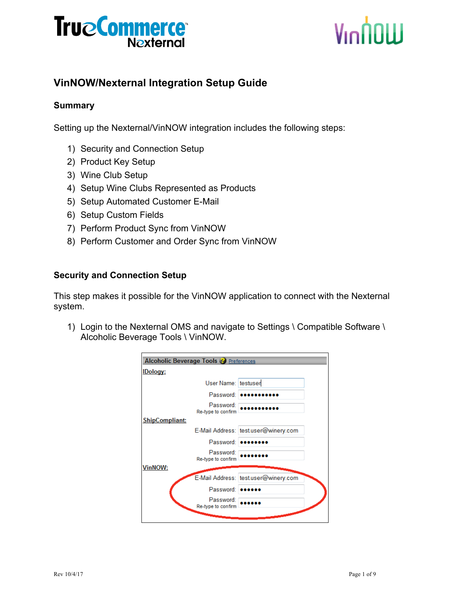# Vinnow

### **VinNOW/Nexternal Integration Setup Guide**

#### **Summary**

Setting up the Nexternal/VinNOW integration includes the following steps:

- 1) Security and Connection Setup
- 2) Product Key Setup
- 3) Wine Club Setup
- 4) Setup Wine Clubs Represented as Products
- 5) Setup Automated Customer E-Mail
- 6) Setup Custom Fields
- 7) Perform Product Sync from VinNOW
- 8) Perform Customer and Order Sync from VinNOW

#### **Security and Connection Setup**

This step makes it possible for the VinNOW application to connect with the Nexternal system.

1) Login to the Nexternal OMS and navigate to Settings \ Compatible Software \ Alcoholic Beverage Tools \ VinNOW.

| <b>Alcoholic Beverage Tools &amp; Preferences</b> |                                      |
|---------------------------------------------------|--------------------------------------|
| <b>IDology:</b>                                   |                                      |
| User Name: testuser                               |                                      |
| Password:                                         |                                      |
| Password:<br>Re-type to confirm                   |                                      |
| <b>ShipCompliant:</b>                             |                                      |
|                                                   | E-Mail Address: test.user@winery.com |
| Password:                                         |                                      |
| Password:<br>Re-type to confirm                   |                                      |
| <b>VinNOW:</b>                                    |                                      |
|                                                   | E-Mail Address: test.user@winery.com |
| Password:                                         |                                      |
| Password:<br>Re-type to confirm                   |                                      |
|                                                   |                                      |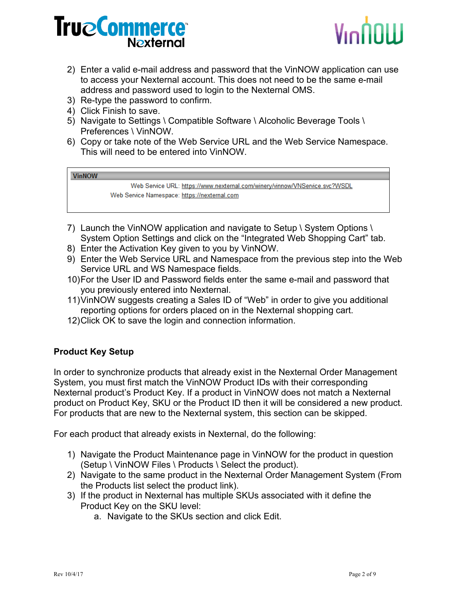

- 2) Enter a valid e-mail address and password that the VinNOW application can use to access your Nexternal account. This does not need to be the same e-mail address and password used to login to the Nexternal OMS.
- 3) Re-type the password to confirm.
- 4) Click Finish to save.
- 5) Navigate to Settings \ Compatible Software \ Alcoholic Beverage Tools \ Preferences \ VinNOW.
- 6) Copy or take note of the Web Service URL and the Web Service Namespace. This will need to be entered into VinNOW.

#### **VinNOW**

Web Service URL: https://www.nexternal.com/winery/vinnow/VNService.svc?WSDL Web Service Namespace: https://nexternal.com

- 7) Launch the VinNOW application and navigate to Setup \ System Options \ System Option Settings and click on the "Integrated Web Shopping Cart" tab.
- 8) Enter the Activation Key given to you by VinNOW.
- 9) Enter the Web Service URL and Namespace from the previous step into the Web Service URL and WS Namespace fields.
- 10)For the User ID and Password fields enter the same e-mail and password that you previously entered into Nexternal.
- 11)VinNOW suggests creating a Sales ID of "Web" in order to give you additional reporting options for orders placed on in the Nexternal shopping cart.
- 12)Click OK to save the login and connection information.

#### **Product Key Setup**

In order to synchronize products that already exist in the Nexternal Order Management System, you must first match the VinNOW Product IDs with their corresponding Nexternal product's Product Key. If a product in VinNOW does not match a Nexternal product on Product Key, SKU or the Product ID then it will be considered a new product. For products that are new to the Nexternal system, this section can be skipped.

For each product that already exists in Nexternal, do the following:

- 1) Navigate the Product Maintenance page in VinNOW for the product in question (Setup \ VinNOW Files \ Products \ Select the product).
- 2) Navigate to the same product in the Nexternal Order Management System (From the Products list select the product link).
- 3) If the product in Nexternal has multiple SKUs associated with it define the Product Key on the SKU level:
	- a. Navigate to the SKUs section and click Edit.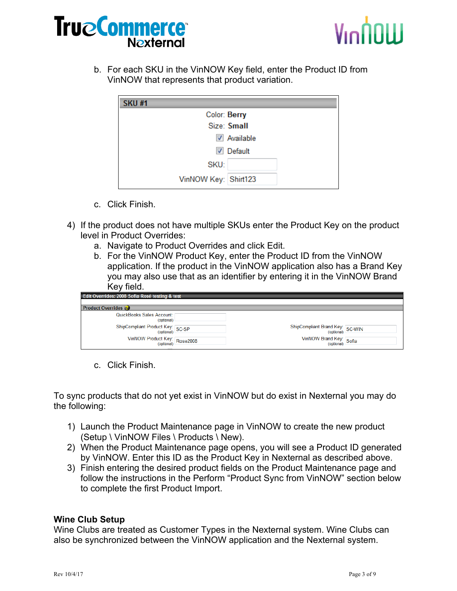



b. For each SKU in the VinNOW Key field, enter the Product ID from VinNOW that represents that product variation.

| <b>SKU#1</b>         |                           |
|----------------------|---------------------------|
| Color: Berry         |                           |
|                      | Size: Small               |
|                      | $\triangledown$ Available |
| √                    | Default                   |
| SKU:                 |                           |
| VinNOW Key: Shirt123 |                           |

- c. Click Finish.
- 4) If the product does not have multiple SKUs enter the Product Key on the product level in Product Overrides:
	- a. Navigate to Product Overrides and click Edit.
	- b. For the VinNOW Product Key, enter the Product ID from the VinNOW application. If the product in the VinNOW application also has a Brand Key you may also use that as an identifier by entering it in the VinNOW Brand Key field.

| Edit Overrides: 2008 Sofia Rosé testing & test |                                 |  |
|------------------------------------------------|---------------------------------|--|
| <b>Product Overrides</b>                       |                                 |  |
| QuickBooks Sales Account: [<br>(optional)      |                                 |  |
| ShipCompliant Product Key: SC-SP               | ShipCompliant Brand Key: SC-WIN |  |
| VinNOW Product Key: Rose2008                   | VinNOW Brand Key: Sofia         |  |

c. Click Finish.

To sync products that do not yet exist in VinNOW but do exist in Nexternal you may do the following:

- 1) Launch the Product Maintenance page in VinNOW to create the new product (Setup \ VinNOW Files \ Products \ New).
- 2) When the Product Maintenance page opens, you will see a Product ID generated by VinNOW. Enter this ID as the Product Key in Nexternal as described above.
- 3) Finish entering the desired product fields on the Product Maintenance page and follow the instructions in the Perform "Product Sync from VinNOW" section below to complete the first Product Import.

#### **Wine Club Setup**

Wine Clubs are treated as Customer Types in the Nexternal system. Wine Clubs can also be synchronized between the VinNOW application and the Nexternal system.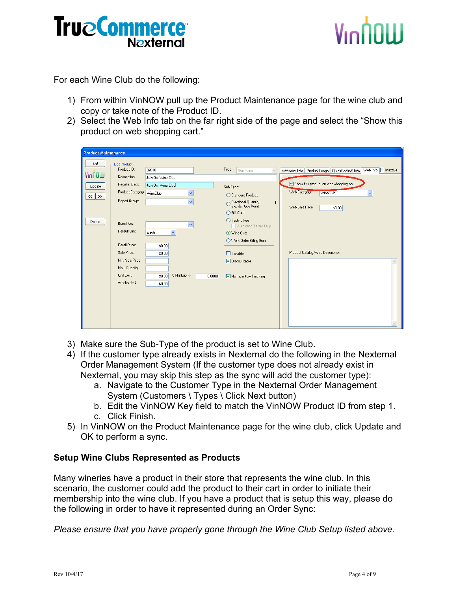# VinNNIII

For each Wine Club do the following:

- 1) From within VinNOW pull up the Product Maintenance page for the wine club and copy or take note of the Product ID.
- 2) Select the Web Info tab on the far right side of the page and select the "Show this product on web shopping cart."

| <b>Product Maintenance</b>                                               |                            |                                 |                                         |                                                                               |
|--------------------------------------------------------------------------|----------------------------|---------------------------------|-----------------------------------------|-------------------------------------------------------------------------------|
|                                                                          |                            |                                 |                                         |                                                                               |
| Exit                                                                     | Edit Product               |                                 |                                         |                                                                               |
| VinNOW                                                                   | Product ID:                | 32010                           | Type:<br>Non-Wine                       | Web Info    Inactive<br>Additional Info   Product Image  <br>QuickBooks® Info |
|                                                                          | Description:               | Join Our Wine Club              |                                         |                                                                               |
| Update                                                                   | Register Desc.             | Join Our Wine Club              | Sub-Type:                               | Show this product on web shopping cart                                        |
| $\rightarrow$<br>$\left\langle \left\langle \right\rangle \right\rangle$ | Product Category: WineClub | ×                               | ◯ Standard Product                      | Web Category:<br><b>WineClub</b><br>v                                         |
|                                                                          | Report Group:              | $\checkmark$                    | O Fractional Quantity                   |                                                                               |
|                                                                          |                            |                                 | e.g. deli type Item)                    | Web Sale Price:<br>\$0.00                                                     |
|                                                                          |                            |                                 | ◯ Gift Card                             |                                                                               |
| Delete                                                                   | Brand Key:                 | $\checkmark$                    | ◯ Tasting Fee<br>Automatic Taster Tally |                                                                               |
|                                                                          | Default Unit:              | Each<br>$\checkmark$            | ⊙ Wine Club                             |                                                                               |
|                                                                          |                            |                                 | ◯ Work Order Billing Item               |                                                                               |
|                                                                          | Retail Price:              | \$0.00                          |                                         |                                                                               |
|                                                                          | Sale Price:                | \$0.00                          | $\Box$ Taxable                          | Product Catalog/Web Description:                                              |
|                                                                          | Min. Sale Price:           |                                 | <b>▽</b> Discountable                   |                                                                               |
|                                                                          | Max. Quantity              |                                 |                                         |                                                                               |
|                                                                          | Unit Cost:                 | % Markup =><br>\$0.00<br>0.0000 | No Inventory Tracking                   |                                                                               |
|                                                                          | Wholesale A                | \$0.00                          |                                         |                                                                               |
|                                                                          |                            |                                 |                                         |                                                                               |
|                                                                          |                            |                                 |                                         |                                                                               |
|                                                                          |                            |                                 |                                         |                                                                               |
|                                                                          |                            |                                 |                                         |                                                                               |
|                                                                          |                            |                                 |                                         |                                                                               |
|                                                                          |                            |                                 |                                         |                                                                               |

- 3) Make sure the Sub-Type of the product is set to Wine Club.
- 4) If the customer type already exists in Nexternal do the following in the Nexternal Order Management System (If the customer type does not already exist in Nexternal, you may skip this step as the sync will add the customer type):
	- a. Navigate to the Customer Type in the Nexternal Order Management System (Customers \ Types \ Click Next button)
	- b. Edit the VinNOW Key field to match the VinNOW Product ID from step 1.
	- c. Click Finish.
- 5) In VinNOW on the Product Maintenance page for the wine club, click Update and OK to perform a sync.

#### **Setup Wine Clubs Represented as Products**

Many wineries have a product in their store that represents the wine club. In this scenario, the customer could add the product to their cart in order to initiate their membership into the wine club. If you have a product that is setup this way, please do the following in order to have it represented during an Order Sync:

*Please ensure that you have properly gone through the Wine Club Setup listed above.*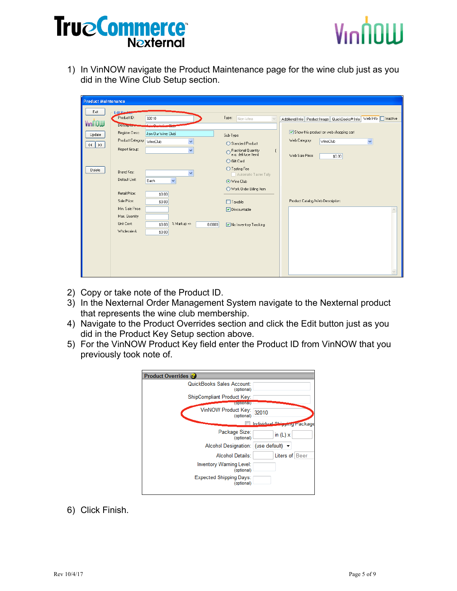

1) In VinNOW navigate the Product Maintenance page for the wine club just as you did in the Wine Club Setup section.

| <b>Product Maintenance</b>                                               |                            |                                      |                                                                 |                                                                                       |
|--------------------------------------------------------------------------|----------------------------|--------------------------------------|-----------------------------------------------------------------|---------------------------------------------------------------------------------------|
| Exit                                                                     | E dit Pass                 |                                      |                                                                 |                                                                                       |
|                                                                          | Product ID:                | 32010                                | Type:<br>Non-Wine                                               | Web Info    Inactive<br>Additional Info Product Image<br>QuickBooks <sup>®</sup> Info |
| VinNOW                                                                   | Description.               | فصيلت والمراجع والمراجع              |                                                                 |                                                                                       |
| Update                                                                   | Register Desc.             | Join Our Wine Club                   | Sub-Type:                                                       | Show this product on web shopping cart                                                |
| $\left\langle \left\langle \right\rangle \right\rangle$<br>$\rightarrow$ | Product Category: WineClub | $\checkmark$                         | ◯ Standard Product                                              | Web Category:<br>WineClub<br>$\checkmark$                                             |
|                                                                          | Report Group:              | v                                    | O Fractional Quantity<br>e.g. deli type Item)<br>$\mathfrak{c}$ | Web Sale Price:                                                                       |
|                                                                          |                            |                                      | ◯ Gift Card                                                     | \$0.00                                                                                |
| Delete                                                                   | Brand Key:                 |                                      | ◯ Tasting Fee                                                   |                                                                                       |
|                                                                          | Default Unit:              | $\checkmark$<br>Each<br>$\checkmark$ | Automatic Taster Tally                                          |                                                                                       |
|                                                                          |                            |                                      | ⊙ Wine Club<br>Work Order Billing Item                          |                                                                                       |
|                                                                          | Retail Price:              | \$0.00                               |                                                                 |                                                                                       |
|                                                                          | Sale Price:                | \$0.00                               | $\Box$ Taxable                                                  | Product Catalog/Web Description:                                                      |
|                                                                          | Min. Sale Price:           |                                      | ☑ Discountable                                                  |                                                                                       |
|                                                                          | Max. Quantity              |                                      |                                                                 |                                                                                       |
|                                                                          | Unit Cost:                 | % Markup =><br>\$0.00<br>0.0000      | Mo Inventory Tracking                                           |                                                                                       |
|                                                                          | Wholesale A                | \$0.00                               |                                                                 |                                                                                       |
|                                                                          |                            |                                      |                                                                 |                                                                                       |
|                                                                          |                            |                                      |                                                                 |                                                                                       |
|                                                                          |                            |                                      |                                                                 |                                                                                       |
|                                                                          |                            |                                      |                                                                 |                                                                                       |
|                                                                          |                            |                                      |                                                                 |                                                                                       |

- 2) Copy or take note of the Product ID.
- 3) In the Nexternal Order Management System navigate to the Nexternal product that represents the wine club membership.
- 4) Navigate to the Product Overrides section and click the Edit button just as you did in the Product Key Setup section above.
- 5) For the VinNOW Product Key field enter the Product ID from VinNOW that you previously took note of.

| <b>Product Overrides</b>                      |                             |
|-----------------------------------------------|-----------------------------|
| QuickBooks Sales Account:<br>(optional)       |                             |
| ShipCompliant Product Key:<br><b>LOQUONED</b> |                             |
| VinNOW Product Key: 32010<br>(optional)       |                             |
|                                               | Individual Shipping Package |
| Package Size:<br>(optional)                   | in $(L)$ x                  |
| Alcohol Designation: (use default) ▼          |                             |
| <b>Alcohol Details:</b>                       | Liters of Beer              |
| Inventory Warning Level:<br>(optional)        |                             |
| <b>Expected Shipping Days:</b><br>(optional)  |                             |
|                                               |                             |

6) Click Finish.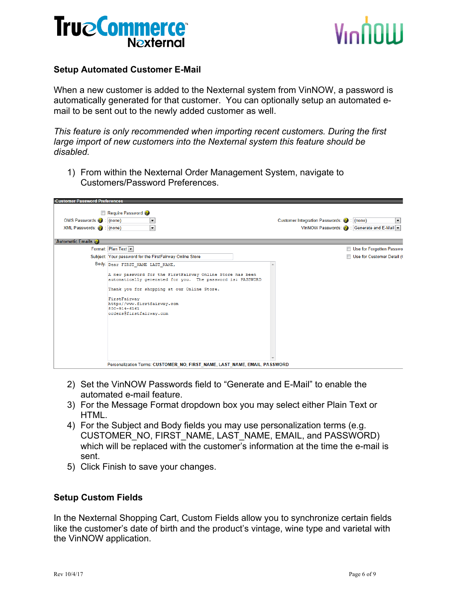



#### **Setup Automated Customer E-Mail**

When a new customer is added to the Nexternal system from VinNOW, a password is automatically generated for that customer. You can optionally setup an automated email to be sent out to the newly added customer as well.

*This feature is only recommended when importing recent customers. During the first large import of new customers into the Nexternal system this feature should be disabled.*

1) From within the Nexternal Order Management System, navigate to Customers/Password Preferences.

| <b>Customer Password Preferences</b>                      |                                                                                                                                                                                                                                                                                                            |                                                                                           |
|-----------------------------------------------------------|------------------------------------------------------------------------------------------------------------------------------------------------------------------------------------------------------------------------------------------------------------------------------------------------------------|-------------------------------------------------------------------------------------------|
| OMS Passwords (2) : (none)<br>XML Passwords: (a) : (none) | Require Password<br>$\blacktriangledown$<br>$\overline{\phantom{0}}$                                                                                                                                                                                                                                       | Customer Integration Passwords: (2) : (none)<br>VinNOW Passwords: 3 : Generate and E-Mail |
| <b>Automatic Emails</b>                                   |                                                                                                                                                                                                                                                                                                            |                                                                                           |
|                                                           | Format: Plan Text                                                                                                                                                                                                                                                                                          | Use for Forgotten Passwo                                                                  |
|                                                           | Subject: Your password for the FirstFairway Online Store                                                                                                                                                                                                                                                   | Use for Customer Detail (                                                                 |
|                                                           | Body: Dear FIRST NAME LAST NAME,<br>A new password for the FirstFairway Online Store has been<br>automatically generated for you. The password is: PASSWORD<br>Thank you for shopping at our Online Store.<br>FirstFairway<br>http://www.firstfairway.com<br>$800 - 914 - 6161$<br>orders@firstfairway.com |                                                                                           |
|                                                           | Personalization Terms: CUSTOMER_NO, FIRST_NAME, LAST_NAME, EMAIL, PASSWORD                                                                                                                                                                                                                                 |                                                                                           |

- 2) Set the VinNOW Passwords field to "Generate and E-Mail" to enable the automated e-mail feature.
- 3) For the Message Format dropdown box you may select either Plain Text or HTML.
- 4) For the Subject and Body fields you may use personalization terms (e.g. CUSTOMER\_NO, FIRST\_NAME, LAST\_NAME, EMAIL, and PASSWORD) which will be replaced with the customer's information at the time the e-mail is sent.
- 5) Click Finish to save your changes.

#### **Setup Custom Fields**

In the Nexternal Shopping Cart, Custom Fields allow you to synchronize certain fields like the customer's date of birth and the product's vintage, wine type and varietal with the VinNOW application.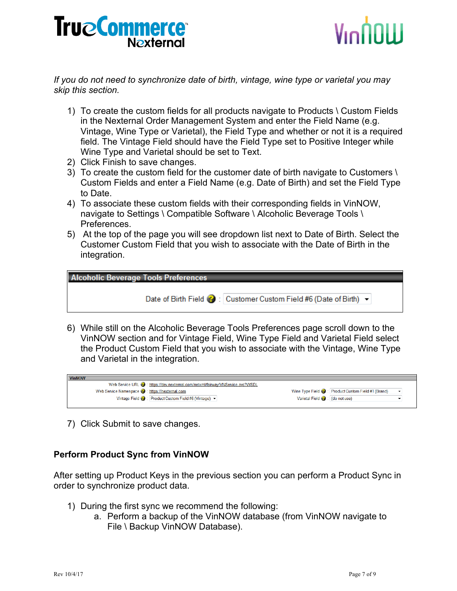

*If you do not need to synchronize date of birth, vintage, wine type or varietal you may skip this section.*

- 1) To create the custom fields for all products navigate to Products \ Custom Fields in the Nexternal Order Management System and enter the Field Name (e.g. Vintage, Wine Type or Varietal), the Field Type and whether or not it is a required field. The Vintage Field should have the Field Type set to Positive Integer while Wine Type and Varietal should be set to Text.
- 2) Click Finish to save changes.
- 3) To create the custom field for the customer date of birth navigate to Customers \ Custom Fields and enter a Field Name (e.g. Date of Birth) and set the Field Type to Date.
- 4) To associate these custom fields with their corresponding fields in VinNOW, navigate to Settings \ Compatible Software \ Alcoholic Beverage Tools \ Preferences.
- 5) At the top of the page you will see dropdown list next to Date of Birth. Select the Customer Custom Field that you wish to associate with the Date of Birth in the integration.

| <b>Alcoholic Beverage Tools Preferences</b> |                                                                    |  |
|---------------------------------------------|--------------------------------------------------------------------|--|
|                                             | Date of Birth Field @ : Customer Custom Field #6 (Date of Birth) ~ |  |

6) While still on the Alcoholic Beverage Tools Preferences page scroll down to the VinNOW section and for Vintage Field, Wine Type Field and Varietal Field select the Product Custom Field that you wish to associate with the Vintage, Wine Type and Varietal in the integration.

| <b>VinNOW</b>                                                                  |                                                      |  |
|--------------------------------------------------------------------------------|------------------------------------------------------|--|
| Web Service URL @: https://dev.nexternal.com/netxml/fairway/VNService.svc?WSDL |                                                      |  |
| Web Service Namespace 2: https://nexternal.com                                 | Wine Type Field (2): Product Custom Field #1 (Brand) |  |
| Vintage Field (2): Product Custom Field #6 (Vintage) v                         | Varietal Field ( : (do not use)                      |  |
|                                                                                |                                                      |  |

7) Click Submit to save changes.

#### **Perform Product Sync from VinNOW**

After setting up Product Keys in the previous section you can perform a Product Sync in order to synchronize product data.

- 1) During the first sync we recommend the following:
	- a. Perform a backup of the VinNOW database (from VinNOW navigate to File \ Backup VinNOW Database).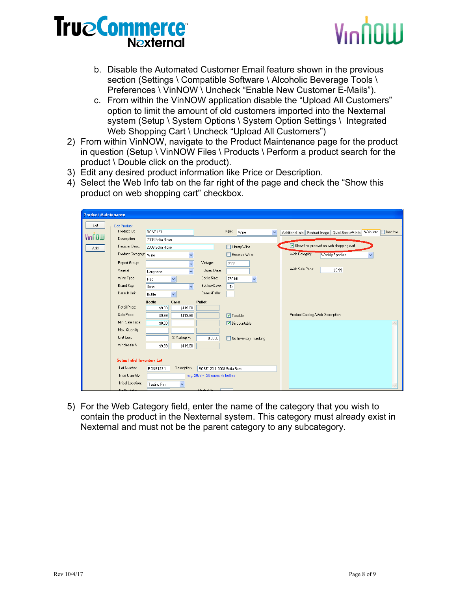## VınNNIII

- b. Disable the Automated Customer Email feature shown in the previous section (Settings \ Compatible Software \ Alcoholic Beverage Tools \ Preferences \ VinNOW \ Uncheck "Enable New Customer E-Mails").
- c. From within the VinNOW application disable the "Upload All Customers" option to limit the amount of old customers imported into the Nexternal system (Setup \ System Options \ System Option Settings \ Integrated Web Shopping Cart \ Uncheck "Upload All Customers")
- 2) From within VinNOW, navigate to the Product Maintenance page for the product in question (Setup \ VinNOW Files \ Products \ Perform a product search for the product \ Double click on the product).
- 3) Edit any desired product information like Price or Description.
- 4) Select the Web Info tab on the far right of the page and check the "Show this product on web shopping cart" checkbox.

| <b>Product Maintenance</b> |                                   |                 |                      |                                   |                        |                                                                                                       |
|----------------------------|-----------------------------------|-----------------|----------------------|-----------------------------------|------------------------|-------------------------------------------------------------------------------------------------------|
| Exit                       | <b>Edit Product</b>               |                 |                      |                                   |                        |                                                                                                       |
|                            | Product ID:                       | ROSE123         |                      |                                   | Type:<br>Wine          | Web Info   Inactive<br>$\overline{\mathbf{v}}$<br>Product Image   QuickBooks® Info<br>Additional Info |
| VinNOW                     | Description:                      | 2008 Sofia Rose |                      |                                   |                        |                                                                                                       |
| Add                        | Register Desc.                    | 2008 Sofia Rose |                      |                                   | Library Wine           | Show this product on web shopping cart                                                                |
|                            | Product Category: Wine            |                 | $\checkmark$         |                                   | Reserve Wine           | Web Category:<br>Weekly Specials                                                                      |
|                            | Report Group:                     |                 | v                    | Vintage:                          | 2008                   |                                                                                                       |
|                            | Varietal                          | Carignane       | $\checkmark$         | Futures Date:                     |                        | Web Sale Price:<br>\$9.99                                                                             |
|                            | Wine Type:                        | Red             | $\checkmark$         | Bottle Size:                      | $\checkmark$<br>750 ML |                                                                                                       |
|                            | Brand Key:                        | Sofia           | $\checkmark$         | Bottles/Case:                     | 12                     |                                                                                                       |
|                            | Default Unit:                     | <b>Bottle</b>   | $\ddot{\phantom{1}}$ | Cases/Pallet:                     |                        |                                                                                                       |
|                            |                                   | <b>Bottle</b>   | Case                 | Pallet                            |                        |                                                                                                       |
|                            | Retail Price:                     | \$9.99          | \$119.88             |                                   |                        |                                                                                                       |
|                            | Sale Price:                       | \$9.99          | \$119.88             |                                   | $\boxed{\vee}$ Taxable | Product Catalog/Web Description:                                                                      |
|                            | Min. Sale Price:                  | \$0.00          |                      |                                   | <b>▽</b> Discountable  | $\wedge$                                                                                              |
|                            | Max. Quantity                     |                 |                      |                                   |                        |                                                                                                       |
|                            | Unit Cost:                        |                 | % Markup =>          | 0.0000                            | No Inventory Tracking  |                                                                                                       |
|                            | Wholesale A                       | \$9.99          | \$119.88             |                                   |                        |                                                                                                       |
|                            |                                   |                 |                      |                                   |                        |                                                                                                       |
|                            | <b>Setup Intial Inventory Lot</b> |                 |                      |                                   |                        |                                                                                                       |
|                            | Lot Number:                       | ROSE123-1       | Description:         | ROSE123-1 2008 Sofia Rose         |                        |                                                                                                       |
|                            | Inital Quantity:                  |                 |                      | e.g. $20/6 = 20$ cases /6 bottles |                        |                                                                                                       |
|                            | Initial Location:                 | Tasting Rm      | $\checkmark$         |                                   |                        | $\checkmark$                                                                                          |
|                            | <b>Dottle Disto:</b>              |                 |                      | Algolad %                         |                        |                                                                                                       |

5) For the Web Category field, enter the name of the category that you wish to contain the product in the Nexternal system. This category must already exist in Nexternal and must not be the parent category to any subcategory.